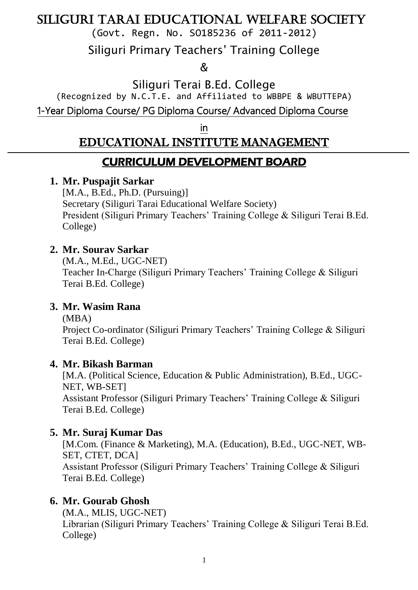(Govt. Regn. No. SO185236 of 2011-2012)

Siliguri Primary Teachers' Training College

 $\delta$ 

Siliguri Terai B.Ed. College

(Recognized by N.C.T.E. and Affiliated to WBBPE & WBUTTEPA)

1-Year Diploma Course/ PG Diploma Course/ Advanced Diploma Course

in

## EDUCATIONAL INSTITUTE MANAGEMENT

## CURRICULUM DEVELOPMENT BOARD

## **1. Mr. Puspajit Sarkar**

[M.A., B.Ed., Ph.D. (Pursuing)] Secretary (Siliguri Tarai Educational Welfare Society) President (Siliguri Primary Teachers' Training College & Siliguri Terai B.Ed. College)

#### **2. Mr. Sourav Sarkar**

(M.A., M.Ed., UGC-NET) Teacher In-Charge (Siliguri Primary Teachers' Training College & Siliguri Terai B.Ed. College)

#### **3. Mr. Wasim Rana**

(MBA)

Project Co-ordinator (Siliguri Primary Teachers' Training College & Siliguri Terai B.Ed. College)

#### **4. Mr. Bikash Barman**

[M.A. (Political Science, Education & Public Administration), B.Ed., UGC-NET, WB-SET] Assistant Professor (Siliguri Primary Teachers' Training College & Siliguri Terai B.Ed. College)

#### **5. Mr. Suraj Kumar Das**

[M.Com. (Finance & Marketing), M.A. (Education), B.Ed., UGC-NET, WB-SET, CTET, DCA] Assistant Professor (Siliguri Primary Teachers' Training College & Siliguri Terai B.Ed. College)

#### **6. Mr. Gourab Ghosh**

(M.A., MLIS, UGC-NET) Librarian (Siliguri Primary Teachers' Training College & Siliguri Terai B.Ed. College)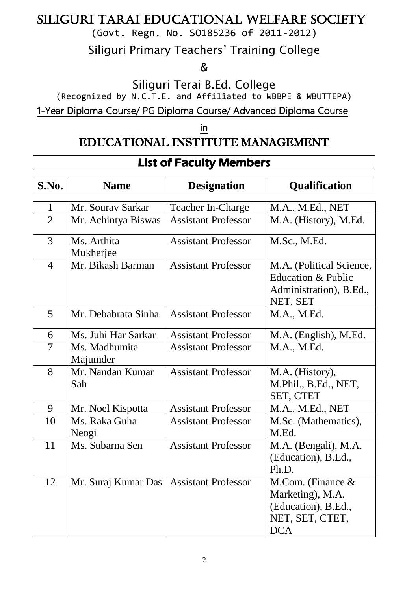(Govt. Regn. No. SO185236 of 2011-2012)

Siliguri Primary Teachers' Training College

 $\delta$ 

Siliguri Terai B.Ed. College

(Recognized by N.C.T.E. and Affiliated to WBBPE & WBUTTEPA)

1-Year Diploma Course/ PG Diploma Course/ Advanced Diploma Course

in

## EDUCATIONAL INSTITUTE MANAGEMENT

# List of Faculty Members

| S.No.          | <b>Name</b>               | <b>Designation</b>         | <b>Qualification</b>                                                                             |
|----------------|---------------------------|----------------------------|--------------------------------------------------------------------------------------------------|
|                |                           |                            |                                                                                                  |
| $\mathbf{1}$   | Mr. Sourav Sarkar         | <b>Teacher In-Charge</b>   | M.A., M.Ed., NET                                                                                 |
| $\overline{2}$ | Mr. Achintya Biswas       | <b>Assistant Professor</b> | M.A. (History), M.Ed.                                                                            |
| 3              | Ms. Arthita<br>Mukherjee  | <b>Assistant Professor</b> | M.Sc., M.Ed.                                                                                     |
| $\overline{4}$ | Mr. Bikash Barman         | <b>Assistant Professor</b> | M.A. (Political Science,<br>Education & Public<br>Administration), B.Ed.,<br>NET, SET            |
| 5              | Mr. Debabrata Sinha       | <b>Assistant Professor</b> | M.A., M.Ed.                                                                                      |
| 6              | Ms. Juhi Har Sarkar       | <b>Assistant Professor</b> | M.A. (English), M.Ed.                                                                            |
| $\overline{7}$ | Ms. Madhumita<br>Majumder | <b>Assistant Professor</b> | M.A., M.Ed.                                                                                      |
| 8              | Mr. Nandan Kumar<br>Sah   | <b>Assistant Professor</b> | M.A. (History),<br>M.Phil., B.Ed., NET,<br>SET, CTET                                             |
| 9              | Mr. Noel Kispotta         | <b>Assistant Professor</b> | M.A., M.Ed., NET                                                                                 |
| 10             | Ms. Raka Guha<br>Neogi    | <b>Assistant Professor</b> | M.Sc. (Mathematics),<br>M.Ed.                                                                    |
| 11             | Ms. Subarna Sen           | <b>Assistant Professor</b> | M.A. (Bengali), M.A.<br>(Education), B.Ed.,<br>Ph.D.                                             |
| 12             | Mr. Suraj Kumar Das       | <b>Assistant Professor</b> | M.Com. (Finance $\&$<br>Marketing), M.A.<br>(Education), B.Ed.,<br>NET, SET, CTET,<br><b>DCA</b> |

Ξ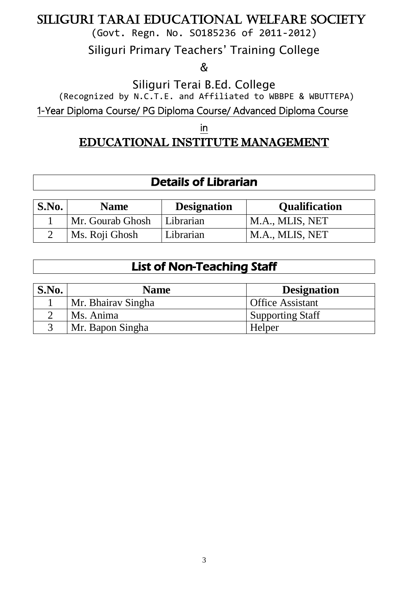(Govt. Regn. No. SO185236 of 2011-2012)

Siliguri Primary Teachers' Training College

 $\delta$ 

Siliguri Terai B.Ed. College

(Recognized by N.C.T.E. and Affiliated to WBBPE & WBUTTEPA)

1-Year Diploma Course/ PG Diploma Course/ Advanced Diploma Course

in

## EDUCATIONAL INSTITUTE MANAGEMENT

## Details of Librarian

| S.No. | <b>Name</b>      | <b>Designation</b> | <b>Qualification</b> |
|-------|------------------|--------------------|----------------------|
|       | Mr. Gourab Ghosh | Librarian          | M.A., MLIS, NET      |
|       | Ms. Roji Ghosh   | Librarian          | M.A., MLIS, NET      |

## List of Non-Teaching Staff

| S.No. | <b>Name</b>        | <b>Designation</b>      |
|-------|--------------------|-------------------------|
|       | Mr. Bhairay Singha | <b>Office Assistant</b> |
|       | Ms. Anima          | <b>Supporting Staff</b> |
|       | Mr. Bapon Singha   | Helper                  |
|       |                    |                         |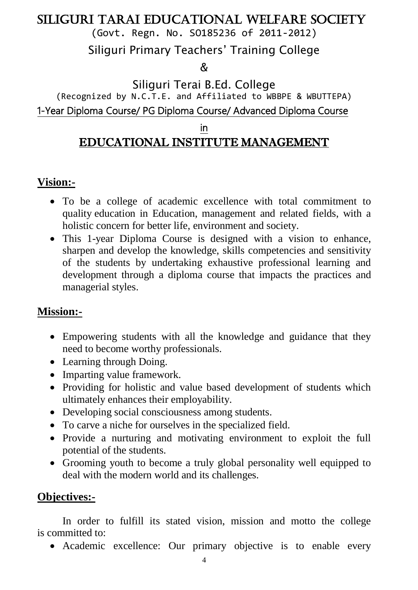(Govt. Regn. No. SO185236 of 2011-2012)

Siliguri Primary Teachers' Training College

 $\mathcal{R}$ 

Siliguri Terai B.Ed. College (Recognized by N.C.T.E. and Affiliated to WBBPE & WBUTTEPA) 1-Year Diploma Course/ PG Diploma Course/ Advanced Diploma Course

in

# EDUCATIONAL INSTITUTE MANAGEMENT

## **Vision:-**

- To be a college of academic excellence with total commitment to quality education in Education, management and related fields, with a holistic concern for better life, environment and society.
- This 1-year Diploma Course is designed with a vision to enhance, sharpen and develop the knowledge, skills competencies and sensitivity of the students by undertaking exhaustive professional learning and development through a diploma course that impacts the practices and managerial styles.

## **Mission:-**

- Empowering students with all the knowledge and guidance that they need to become worthy professionals.
- Learning through Doing.
- Imparting value framework.
- Providing for holistic and value based development of students which ultimately enhances their employability.
- Developing social consciousness among students.
- To carve a niche for ourselves in the specialized field.
- Provide a nurturing and motivating environment to exploit the full potential of the students.
- Grooming youth to become a truly global personality well equipped to deal with the modern world and its challenges.

## **Objectives:-**

In order to fulfill its stated vision, mission and motto the college is committed to:

Academic excellence: Our primary objective is to enable every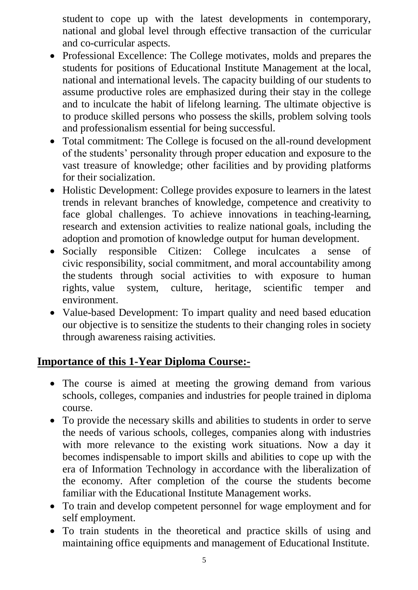student to cope up with the latest developments in contemporary, national and global level through effective transaction of the curricular and co-curricular aspects.

- Professional Excellence: The College motivates, molds and prepares the students for positions of Educational Institute Management at the local, national and international levels. The capacity building of our students to assume productive roles are emphasized during their stay in the college and to inculcate the habit of lifelong learning. The ultimate objective is to produce skilled persons who possess the skills, problem solving tools and professionalism essential for being successful.
- Total commitment: The College is focused on the all-round development of the students' personality through proper education and exposure to the vast treasure of knowledge; other facilities and by providing platforms for their socialization.
- Holistic Development: College provides exposure to learners in the latest trends in relevant branches of knowledge, competence and creativity to face global challenges. To achieve innovations in teaching-learning, research and extension activities to realize national goals, including the adoption and promotion of knowledge output for human development.
- Socially responsible Citizen: College inculcates a sense of civic responsibility, social commitment, and moral accountability among the students through social activities to with exposure to human rights, value system, culture, heritage, scientific temper and environment.
- Value-based Development: To impart quality and need based education our objective is to sensitize the students to their changing roles in society through awareness raising activities.

#### **Importance of this 1-Year Diploma Course:-**

- The course is aimed at meeting the growing demand from various schools, colleges, companies and industries for people trained in diploma course.
- To provide the necessary skills and abilities to students in order to serve the needs of various schools, colleges, companies along with industries with more relevance to the existing work situations. Now a day it becomes indispensable to import skills and abilities to cope up with the era of Information Technology in accordance with the liberalization of the economy. After completion of the course the students become familiar with the Educational Institute Management works.
- To train and develop competent personnel for wage employment and for self employment.
- To train students in the theoretical and practice skills of using and maintaining office equipments and management of Educational Institute.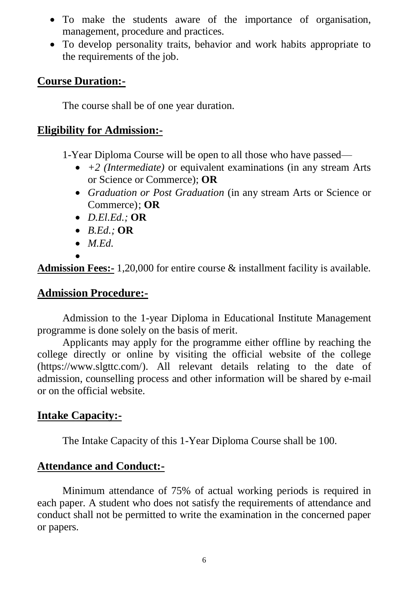- To make the students aware of the importance of organisation, management, procedure and practices.
- To develop personality traits, behavior and work habits appropriate to the requirements of the job.

#### **Course Duration:-**

The course shall be of one year duration.

#### **Eligibility for Admission:-**

1-Year Diploma Course will be open to all those who have passed—

- *+2 (Intermediate)* or equivalent examinations (in any stream Arts or Science or Commerce); **OR**
- *Graduation or Post Graduation* (in any stream Arts or Science or Commerce); **OR**
- *D.El.Ed.;* **OR**
- *B.Ed.;* **OR**
- *M.Ed.*
- $\bullet$ **Admission Fees:-** 1,20,000 for entire course & installment facility is available.

#### **Admission Procedure:-**

Admission to the 1-year Diploma in Educational Institute Management programme is done solely on the basis of merit.

Applicants may apply for the programme either offline by reaching the college directly or online by visiting the official website of the college (https://www.slgttc.com/). All relevant details relating to the date of admission, counselling process and other information will be shared by e-mail or on the official website.

#### **Intake Capacity:-**

The Intake Capacity of this 1-Year Diploma Course shall be 100.

#### **Attendance and Conduct:-**

Minimum attendance of 75% of actual working periods is required in each paper. A student who does not satisfy the requirements of attendance and conduct shall not be permitted to write the examination in the concerned paper or papers.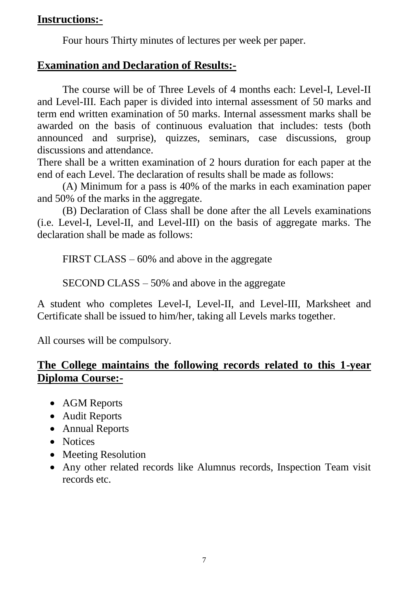#### **Instructions:-**

Four hours Thirty minutes of lectures per week per paper.

#### **Examination and Declaration of Results:-**

The course will be of Three Levels of 4 months each: Level-I, Level-II and Level-III. Each paper is divided into internal assessment of 50 marks and term end written examination of 50 marks. Internal assessment marks shall be awarded on the basis of continuous evaluation that includes: tests (both announced and surprise), quizzes, seminars, case discussions, group discussions and attendance.

There shall be a written examination of 2 hours duration for each paper at the end of each Level. The declaration of results shall be made as follows:

(A) Minimum for a pass is 40% of the marks in each examination paper and 50% of the marks in the aggregate.

(B) Declaration of Class shall be done after the all Levels examinations (i.e. Level-I, Level-II, and Level-III) on the basis of aggregate marks. The declaration shall be made as follows:

FIRST CLASS – 60% and above in the aggregate

SECOND CLASS – 50% and above in the aggregate

A student who completes Level-I, Level-II, and Level-III, Marksheet and Certificate shall be issued to him/her, taking all Levels marks together.

All courses will be compulsory.

#### **The College maintains the following records related to this 1-year Diploma Course:-**

- AGM Reports
- Audit Reports
- Annual Reports
- Notices
- Meeting Resolution
- Any other related records like Alumnus records, Inspection Team visit records etc.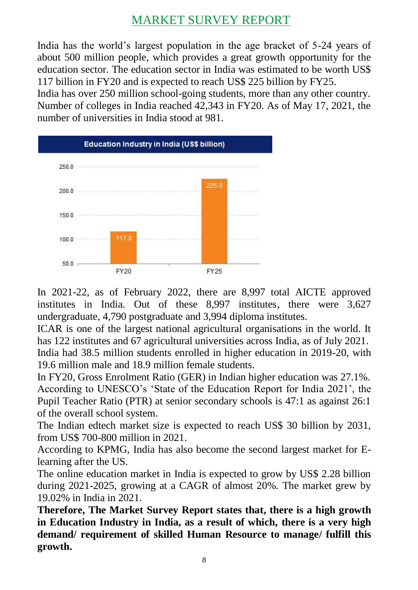## MARKET SURVEY REPORT

India has the world's largest population in the age bracket of 5-24 years of about 500 million people, which provides a great growth opportunity for the education sector. The education sector in India was estimated to be worth US\$ 117 billion in FY20 and is expected to reach US\$ 225 billion by FY25.

India has over 250 million school-going students, more than any other country. Number of colleges in India reached 42,343 in FY20. As of May 17, 2021, the number of universities in India stood at 981.



In 2021-22, as of February 2022, there are 8,997 total AICTE approved institutes in India. Out of these 8,997 institutes, there were 3,627 undergraduate, 4,790 postgraduate and 3,994 diploma institutes.

ICAR is one of the largest national agricultural organisations in the world. It has 122 institutes and 67 agricultural universities across India, as of July 2021. India had 38.5 million students enrolled in higher education in 2019-20, with 19.6 million male and 18.9 million female students.

In FY20, Gross Enrolment Ratio (GER) in Indian higher education was 27.1%. According to UNESCO's 'State of the Education Report for India 2021', the Pupil Teacher Ratio (PTR) at senior secondary schools is 47:1 as against 26:1 of the overall school system.

The Indian edtech market size is expected to reach US\$ 30 billion by 2031, from US\$ 700-800 million in 2021.

According to KPMG, India has also become the second largest market for Elearning after the US.

The online education market in India is expected to grow by US\$ 2.28 billion during 2021-2025, growing at a CAGR of almost 20%. The market grew by 19.02% in India in 2021.

**Therefore, The Market Survey Report states that, there is a high growth in Education Industry in India, as a result of which, there is a very high demand/ requirement of skilled Human Resource to manage/ fulfill this growth.**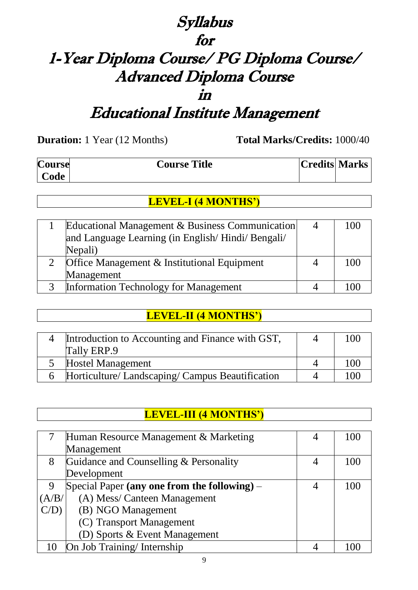# Syllabus for 1-Year Diploma Course/ PG Diploma Course/ Advanced Diploma Course in Educational Institute Management

**Duration:** 1 Year (12 Months) **Total Marks/Credits:** 1000/40

 $\mathsf I$ 

| <b>Course</b> | <b>Course Title</b> | Credits  Marks |  |
|---------------|---------------------|----------------|--|
| Code          |                     |                |  |

#### **LEVEL-I (4 MONTHS')**

| Educational Management & Business Communication<br>and Language Learning (in English/Hindi/Bengali/ |   | 100 |
|-----------------------------------------------------------------------------------------------------|---|-----|
| Nepali)                                                                                             |   |     |
| Office Management & Institutional Equipment                                                         | 4 | 100 |
| Management                                                                                          |   |     |
| Information Technology for Management                                                               |   |     |

#### **LEVEL-II (4 MONTHS')**

| Introduction to Accounting and Finance with GST, | 100 |
|--------------------------------------------------|-----|
| Tally ERP.9                                      |     |
| <b>Hostel Management</b>                         | 100 |
| Horticulture/ Landscaping/ Campus Beautification | 100 |

**LEVEL-III (4 MONTHS')**

| <u>LEVEL-III (4 MUN I HS)</u> |                                                |  |     |
|-------------------------------|------------------------------------------------|--|-----|
|                               |                                                |  |     |
| 7                             | Human Resource Management & Marketing          |  | 100 |
|                               | Management                                     |  |     |
| 8                             | Guidance and Counselling & Personality         |  | 100 |
|                               | Development                                    |  |     |
| 9                             | Special Paper (any one from the following) $-$ |  | 100 |
| (A/B/                         | (A) Mess/ Canteen Management                   |  |     |
| $C/D$ )                       | (B) NGO Management                             |  |     |
|                               | (C) Transport Management                       |  |     |
|                               | (D) Sports & Event Management                  |  |     |
| 10                            | On Job Training/Internship                     |  |     |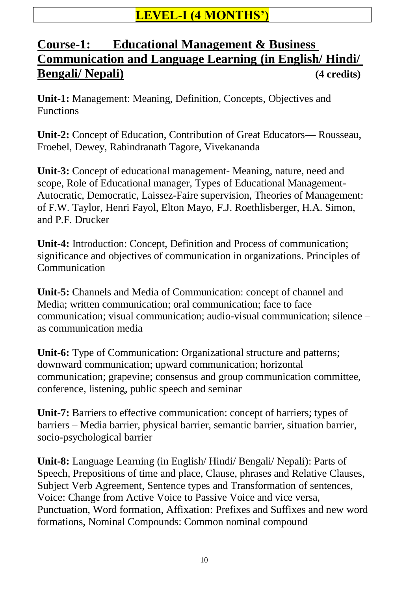## **LEVEL-I (4 MONTHS')**

## **Course-1: Educational Management & Business Communication and Language Learning (in English/ Hindi/ Bengali/ Nepali) (4 credits)**

**Unit-1:** Management: Meaning, Definition, Concepts, Objectives and Functions

**Unit-2:** Concept of Education, Contribution of Great Educators— Rousseau, Froebel, Dewey, Rabindranath Tagore, Vivekananda

**Unit-3:** Concept of educational management- Meaning, nature, need and scope, Role of Educational manager, Types of Educational Management-Autocratic, Democratic, Laissez-Faire supervision, Theories of Management: of F.W. Taylor, Henri Fayol, Elton Mayo, F.J. Roethlisberger, H.A. Simon, and P.F. Drucker

**Unit-4:** Introduction: Concept, Definition and Process of communication; significance and objectives of communication in organizations. Principles of Communication

**Unit-5:** Channels and Media of Communication: concept of channel and Media; written communication; oral communication; face to face communication; visual communication; audio-visual communication; silence – as communication media

**Unit-6:** Type of Communication: Organizational structure and patterns; downward communication; upward communication; horizontal communication; grapevine; consensus and group communication committee, conference, listening, public speech and seminar

**Unit-7:** Barriers to effective communication: concept of barriers; types of barriers – Media barrier, physical barrier, semantic barrier, situation barrier, socio-psychological barrier

**Unit-8:** Language Learning (in English/ Hindi/ Bengali/ Nepali): Parts of Speech, Prepositions of time and place, Clause, phrases and Relative Clauses, Subject Verb Agreement, Sentence types and Transformation of sentences, Voice: Change from Active Voice to Passive Voice and vice versa, Punctuation, Word formation, Affixation: Prefixes and Suffixes and new word formations, Nominal Compounds: Common nominal compound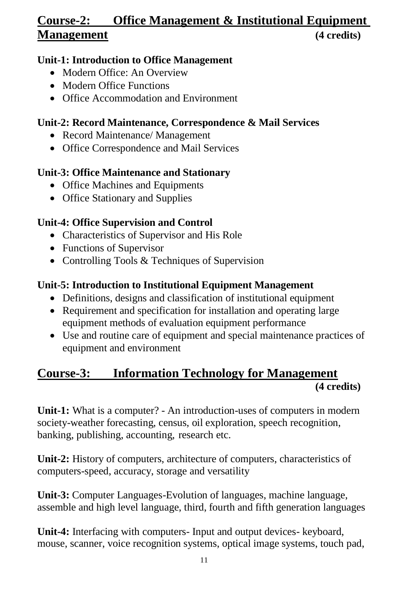## **Course-2: Office Management & Institutional Equipment Management (4 credits)**

#### **Unit-1: Introduction to Office Management**

- Modern Office: An Overview
- Modern Office Functions
- Office Accommodation and Environment

#### **Unit-2: Record Maintenance, Correspondence & Mail Services**

- Record Maintenance/ Management
- Office Correspondence and Mail Services

#### **Unit-3: Office Maintenance and Stationary**

- Office Machines and Equipments
- Office Stationary and Supplies

## **Unit-4: Office Supervision and Control**

- Characteristics of Supervisor and His Role
- Functions of Supervisor
- Controlling Tools & Techniques of Supervision

#### **Unit-5: Introduction to Institutional Equipment Management**

- Definitions, designs and classification of institutional equipment
- Requirement and specification for installation and operating large equipment methods of evaluation equipment performance
- Use and routine care of equipment and special maintenance practices of equipment and environment

## **Course-3: Information Technology for Management (4 credits)**

**Unit-1:** What is a computer? - An introduction-uses of computers in modern society-weather forecasting, census, oil exploration, speech recognition, banking, publishing, accounting, research etc.

**Unit-2:** History of computers, architecture of computers, characteristics of computers-speed, accuracy, storage and versatility

**Unit-3:** Computer Languages-Evolution of languages, machine language, assemble and high level language, third, fourth and fifth generation languages

**Unit-4:** Interfacing with computers- Input and output devices- keyboard, mouse, scanner, voice recognition systems, optical image systems, touch pad,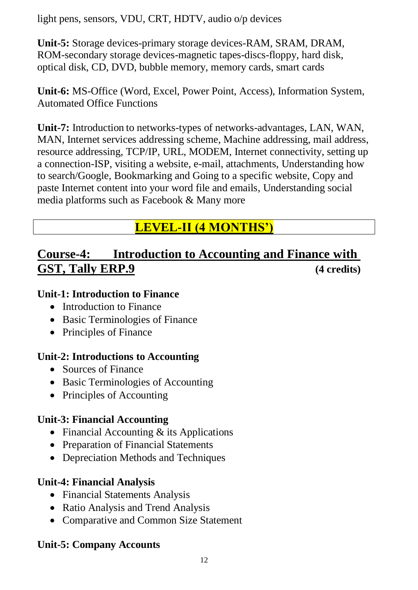light pens, sensors, VDU, CRT, HDTV, audio o/p devices

**Unit-5:** Storage devices-primary storage devices-RAM, SRAM, DRAM, ROM-secondary storage devices-magnetic tapes-discs-floppy, hard disk, optical disk, CD, DVD, bubble memory, memory cards, smart cards

**Unit-6:** MS-Office (Word, Excel, Power Point, Access), Information System, Automated Office Functions

**Unit-7:** Introduction to networks-types of networks-advantages, LAN, WAN, MAN, Internet services addressing scheme, Machine addressing, mail address, resource addressing, TCP/IP, URL, MODEM, Internet connectivity, setting up a connection-ISP, visiting a website, e-mail, attachments, Understanding how to search/Google, Bookmarking and Going to a specific website, Copy and paste Internet content into your word file and emails, Understanding social media platforms such as Facebook & Many more

## **LEVEL-II (4 MONTHS')**

## **Course-4: Introduction to Accounting and Finance with GST, Tally ERP.9 (4 credits)**

#### **Unit-1: Introduction to Finance**

- Introduction to Finance
- Basic Terminologies of Finance
- Principles of Finance

#### **Unit-2: Introductions to Accounting**

- Sources of Finance
- Basic Terminologies of Accounting
- Principles of Accounting

#### **Unit-3: Financial Accounting**

- Financial Accounting & its Applications
- Preparation of Financial Statements
- Depreciation Methods and Techniques

#### **Unit-4: Financial Analysis**

- Financial Statements Analysis
- Ratio Analysis and Trend Analysis
- Comparative and Common Size Statement

## **Unit-5: Company Accounts**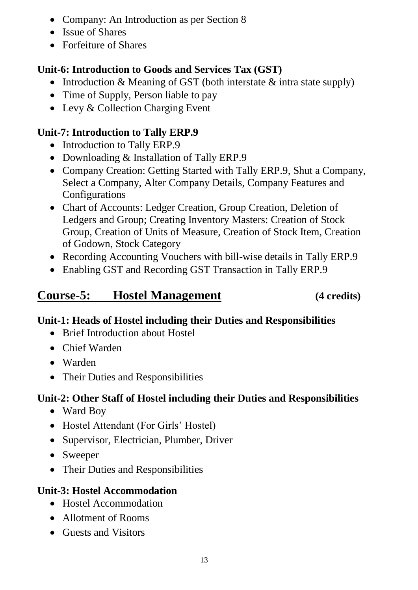- Company: An Introduction as per Section 8
- Issue of Shares
- Forfeiture of Shares

## **Unit-6: Introduction to Goods and Services Tax (GST)**

- Introduction  $&$  Meaning of GST (both interstate  $&$  intra state supply)
- Time of Supply, Person liable to pay
- Levy & Collection Charging Event

## **Unit-7: Introduction to Tally ERP.9**

- Introduction to Tally ERP.9
- Downloading & Installation of Tally ERP.9
- Company Creation: Getting Started with Tally ERP.9, Shut a Company, Select a Company, Alter Company Details, Company Features and Configurations
- Chart of Accounts: Ledger Creation, Group Creation, Deletion of Ledgers and Group; Creating Inventory Masters: Creation of Stock Group, Creation of Units of Measure, Creation of Stock Item, Creation of Godown, Stock Category
- Recording Accounting Vouchers with bill-wise details in Tally ERP.9
- Enabling GST and Recording GST Transaction in Tally ERP.9

# **Course-5: Hostel Management (4 credits)**

## **Unit-1: Heads of Hostel including their Duties and Responsibilities**

- Brief Introduction about Hostel
- Chief Warden
- Warden
- Their Duties and Responsibilities

## **Unit-2: Other Staff of Hostel including their Duties and Responsibilities**

- Ward Boy
- Hostel Attendant (For Girls' Hostel)
- Supervisor, Electrician, Plumber, Driver
- Sweeper
- Their Duties and Responsibilities

## **Unit-3: Hostel Accommodation**

- Hostel Accommodation
- Allotment of Rooms
- Guests and Visitors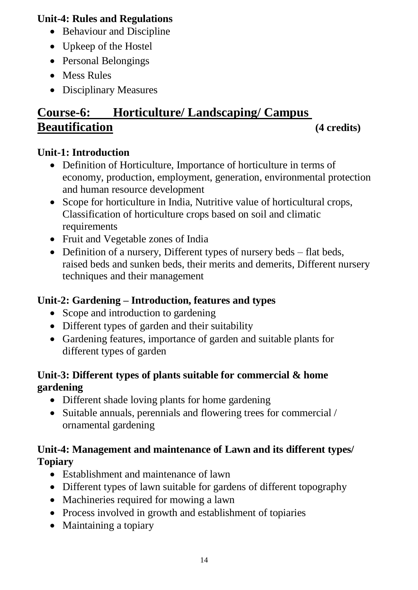#### **Unit-4: Rules and Regulations**

- Behaviour and Discipline
- Upkeep of the Hostel
- Personal Belongings
- Mess Rules
- Disciplinary Measures

# **Course-6: Horticulture/ Landscaping/ Campus Beautification (4 credits)**

### **Unit-1: Introduction**

- Definition of Horticulture, Importance of horticulture in terms of economy, production, employment, generation, environmental protection and human resource development
- Scope for horticulture in India, Nutritive value of horticultural crops, Classification of horticulture crops based on soil and climatic requirements
- Fruit and Vegetable zones of India
- Definition of a nursery, Different types of nursery beds flat beds, raised beds and sunken beds, their merits and demerits, Different nursery techniques and their management

## **Unit-2: Gardening – Introduction, features and types**

- Scope and introduction to gardening
- Different types of garden and their suitability
- Gardening features, importance of garden and suitable plants for different types of garden

#### **Unit-3: Different types of plants suitable for commercial & home gardening**

- Different shade loving plants for home gardening
- Suitable annuals, perennials and flowering trees for commercial / ornamental gardening

#### **Unit-4: Management and maintenance of Lawn and its different types/ Topiary**

- Establishment and maintenance of lawn
- Different types of lawn suitable for gardens of different topography
- Machineries required for mowing a lawn
- Process involved in growth and establishment of topiaries
- Maintaining a topiary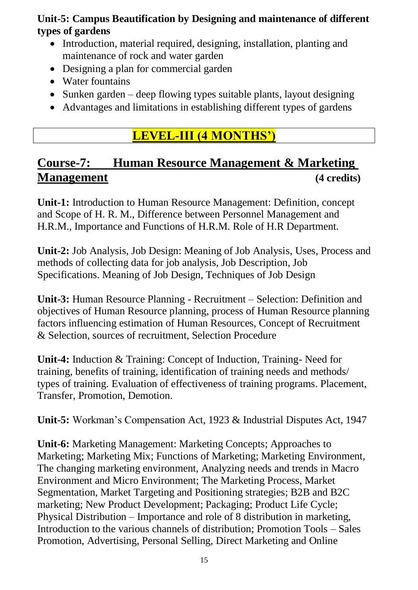#### **Unit-5: Campus Beautification by Designing and maintenance of different types of gardens**

- Introduction, material required, designing, installation, planting and maintenance of rock and water garden
- Designing a plan for commercial garden
- Water fountains
- Sunken garden deep flowing types suitable plants, layout designing
- Advantages and limitations in establishing different types of gardens

## **LEVEL-III (4 MONTHS')**

## **Course-7: Human Resource Management & Marketing Management (4 credits)**

**Unit-1:** Introduction to Human Resource Management: Definition, concept and Scope of H. R. M., Difference between Personnel Management and H.R.M., Importance and Functions of H.R.M. Role of H.R Department.

**Unit-2:** Job Analysis, Job Design: Meaning of Job Analysis, Uses, Process and methods of collecting data for job analysis, Job Description, Job Specifications. Meaning of Job Design, Techniques of Job Design

**Unit-3:** Human Resource Planning - Recruitment – Selection: Definition and objectives of Human Resource planning, process of Human Resource planning factors influencing estimation of Human Resources, Concept of Recruitment & Selection, sources of recruitment, Selection Procedure

**Unit-4:** Induction & Training: Concept of Induction, Training- Need for training, benefits of training, identification of training needs and methods/ types of training. Evaluation of effectiveness of training programs. Placement, Transfer, Promotion, Demotion.

**Unit-5:** Workman's Compensation Act, 1923 & Industrial Disputes Act, 1947

**Unit-6:** Marketing Management: Marketing Concepts; Approaches to Marketing; Marketing Mix; Functions of Marketing; Marketing Environment, The changing marketing environment, Analyzing needs and trends in Macro Environment and Micro Environment; The Marketing Process, Market Segmentation, Market Targeting and Positioning strategies; B2B and B2C marketing; New Product Development; Packaging; Product Life Cycle; Physical Distribution – Importance and role of 8 distribution in marketing, Introduction to the various channels of distribution; Promotion Tools – Sales Promotion, Advertising, Personal Selling, Direct Marketing and Online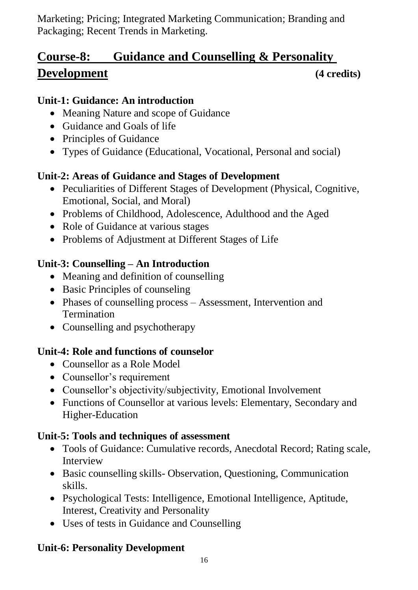Marketing; Pricing; Integrated Marketing Communication; Branding and Packaging; Recent Trends in Marketing.

# **Course-8: Guidance and Counselling & Personality Development (4 credits)**

#### **Unit-1: Guidance: An introduction**

- Meaning Nature and scope of Guidance
- Guidance and Goals of life
- Principles of Guidance
- Types of Guidance (Educational, Vocational, Personal and social)

## **Unit-2: Areas of Guidance and Stages of Development**

- Peculiarities of Different Stages of Development (Physical, Cognitive, Emotional, Social, and Moral)
- Problems of Childhood, Adolescence, Adulthood and the Aged
- Role of Guidance at various stages
- Problems of Adjustment at Different Stages of Life

## **Unit-3: Counselling – An Introduction**

- Meaning and definition of counselling
- Basic Principles of counseling
- Phases of counselling process Assessment, Intervention and **Termination**
- Counselling and psychotherapy

## **Unit-4: Role and functions of counselor**

- Counsellor as a Role Model
- Counsellor's requirement
- Counsellor's objectivity/subjectivity, Emotional Involvement
- Functions of Counsellor at various levels: Elementary, Secondary and Higher-Education

## **Unit-5: Tools and techniques of assessment**

- Tools of Guidance: Cumulative records, Anecdotal Record: Rating scale, Interview
- Basic counselling skills-Observation, Questioning, Communication skills.
- Psychological Tests: Intelligence, Emotional Intelligence, Aptitude, Interest, Creativity and Personality
- Uses of tests in Guidance and Counselling

## **Unit-6: Personality Development**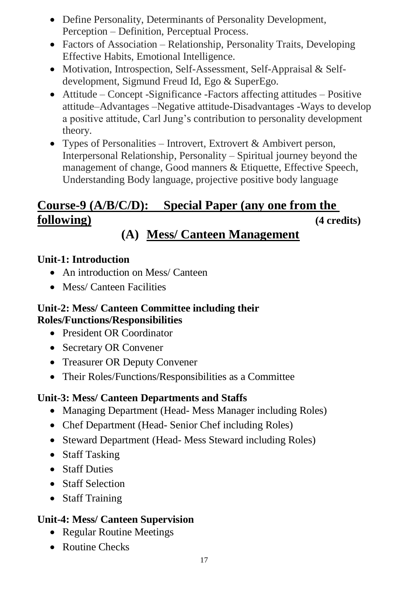- Define Personality, Determinants of Personality Development, Perception – Definition, Perceptual Process.
- Factors of Association Relationship, Personality Traits, Developing Effective Habits, Emotional Intelligence.
- Motivation, Introspection, Self-Assessment, Self-Appraisal & Selfdevelopment, Sigmund Freud Id, Ego & SuperEgo.
- Attitude Concept -Significance -Factors affecting attitudes Positive attitude–Advantages –Negative attitude-Disadvantages -Ways to develop a positive attitude, Carl Jung's contribution to personality development theory.
- Types of Personalities Introvert, Extrovert  $\&$  Ambivert person, Interpersonal Relationship, Personality – Spiritual journey beyond the management of change, Good manners & Etiquette, Effective Speech, Understanding Body language, projective positive body language

# **Course-9 (A/B/C/D): Special Paper (any one from the following) (4 credits)**

# **(A) Mess/ Canteen Management**

## **Unit-1: Introduction**

- An introduction on Mess/ Canteen
- Mess/ Canteen Facilities

#### **Unit-2: Mess/ Canteen Committee including their Roles/Functions/Responsibilities**

- President OR Coordinator
- Secretary OR Convener
- Treasurer OR Deputy Convener
- Their Roles/Functions/Responsibilities as a Committee

## **Unit-3: Mess/ Canteen Departments and Staffs**

- Managing Department (Head- Mess Manager including Roles)
- Chef Department (Head- Senior Chef including Roles)
- Steward Department (Head- Mess Steward including Roles)
- Staff Tasking
- Staff Duties
- Staff Selection
- Staff Training

## **Unit-4: Mess/ Canteen Supervision**

- Regular Routine Meetings
- Routine Checks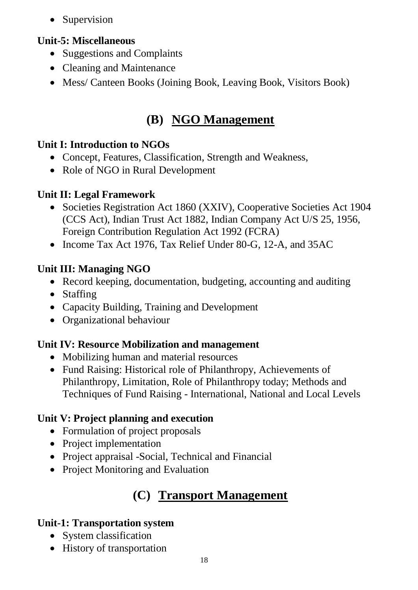• Supervision

#### **Unit-5: Miscellaneous**

- Suggestions and Complaints
- Cleaning and Maintenance
- Mess/ Canteen Books (Joining Book, Leaving Book, Visitors Book)

# **(B) NGO Management**

#### **Unit I: Introduction to NGOs**

- Concept, Features, Classification, Strength and Weakness,
- Role of NGO in Rural Development

## **Unit II: Legal Framework**

- Societies Registration Act 1860 (XXIV), Cooperative Societies Act 1904 (CCS Act), Indian Trust Act 1882, Indian Company Act U/S 25, 1956, Foreign Contribution Regulation Act 1992 (FCRA)
- Income Tax Act 1976, Tax Relief Under 80-G, 12-A, and 35AC

#### **Unit III: Managing NGO**

- Record keeping, documentation, budgeting, accounting and auditing
- Staffing
- Capacity Building, Training and Development
- Organizational behaviour

## **Unit IV: Resource Mobilization and management**

- Mobilizing human and material resources
- Fund Raising: Historical role of Philanthropy, Achievements of Philanthropy, Limitation, Role of Philanthropy today; Methods and Techniques of Fund Raising - International, National and Local Levels

## **Unit V: Project planning and execution**

- Formulation of project proposals
- Project implementation
- Project appraisal -Social, Technical and Financial
- Project Monitoring and Evaluation

# **(C) Transport Management**

## **Unit-1: Transportation system**

- System classification
- History of transportation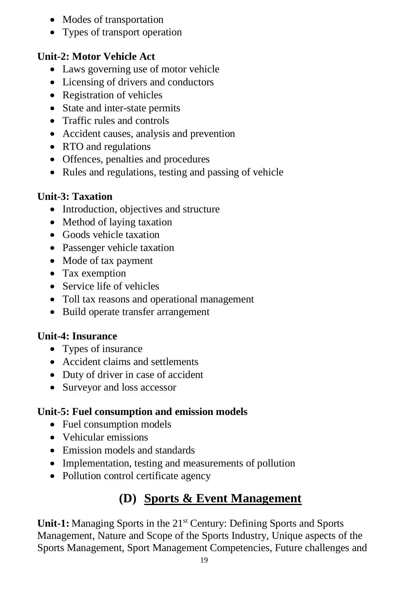- Modes of transportation
- Types of transport operation

## **Unit-2: Motor Vehicle Act**

- Laws governing use of motor vehicle
- Licensing of drivers and conductors
- Registration of vehicles
- State and inter-state permits
- Traffic rules and controls
- Accident causes, analysis and prevention
- RTO and regulations
- Offences, penalties and procedures
- Rules and regulations, testing and passing of vehicle

## **Unit-3: Taxation**

- Introduction, objectives and structure
- Method of laying taxation
- Goods vehicle taxation
- Passenger vehicle taxation
- Mode of tax payment
- Tax exemption
- Service life of vehicles
- Toll tax reasons and operational management
- Build operate transfer arrangement

## **Unit-4: Insurance**

- Types of insurance
- Accident claims and settlements
- Duty of driver in case of accident
- Surveyor and loss accessor

## **Unit-5: Fuel consumption and emission models**

- Fuel consumption models
- Vehicular emissions
- Emission models and standards
- Implementation, testing and measurements of pollution
- Pollution control certificate agency

# **(D) Sports & Event Management**

**Unit-1:** Managing Sports in the 21<sup>st</sup> Century: Defining Sports and Sports Management, Nature and Scope of the Sports Industry, Unique aspects of the Sports Management, Sport Management Competencies, Future challenges and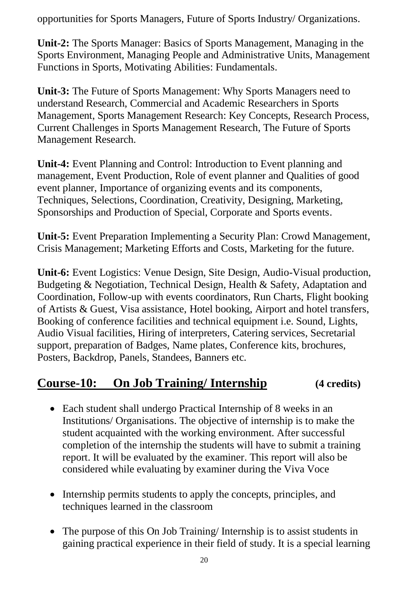opportunities for Sports Managers, Future of Sports Industry/ Organizations.

**Unit-2:** The Sports Manager: Basics of Sports Management, Managing in the Sports Environment, Managing People and Administrative Units, Management Functions in Sports, Motivating Abilities: Fundamentals.

**Unit-3:** The Future of Sports Management: Why Sports Managers need to understand Research, Commercial and Academic Researchers in Sports Management, Sports Management Research: Key Concepts, Research Process, Current Challenges in Sports Management Research, The Future of Sports Management Research.

**Unit-4:** Event Planning and Control: Introduction to Event planning and management, Event Production, Role of event planner and Qualities of good event planner, Importance of organizing events and its components, Techniques, Selections, Coordination, Creativity, Designing, Marketing, Sponsorships and Production of Special, Corporate and Sports events.

**Unit-5:** Event Preparation Implementing a Security Plan: Crowd Management, Crisis Management; Marketing Efforts and Costs, Marketing for the future.

**Unit-6:** Event Logistics: Venue Design, Site Design, Audio-Visual production, Budgeting & Negotiation, Technical Design, Health & Safety, Adaptation and Coordination, Follow-up with events coordinators, Run Charts, Flight booking of Artists & Guest, Visa assistance, Hotel booking, Airport and hotel transfers, Booking of conference facilities and technical equipment i.e. Sound, Lights, Audio Visual facilities, Hiring of interpreters, Catering services, Secretarial support, preparation of Badges, Name plates, Conference kits, brochures, Posters, Backdrop, Panels, Standees, Banners etc.

## **Course-10: On Job Training/ Internship (4 credits)**

- Each student shall undergo Practical Internship of 8 weeks in an Institutions/ Organisations. The objective of internship is to make the student acquainted with the working environment. After successful completion of the internship the students will have to submit a training report. It will be evaluated by the examiner. This report will also be considered while evaluating by examiner during the Viva Voce
- Internship permits students to apply the concepts, principles, and techniques learned in the classroom
- The purpose of this On Job Training/ Internship is to assist students in gaining practical experience in their field of study. It is a special learning